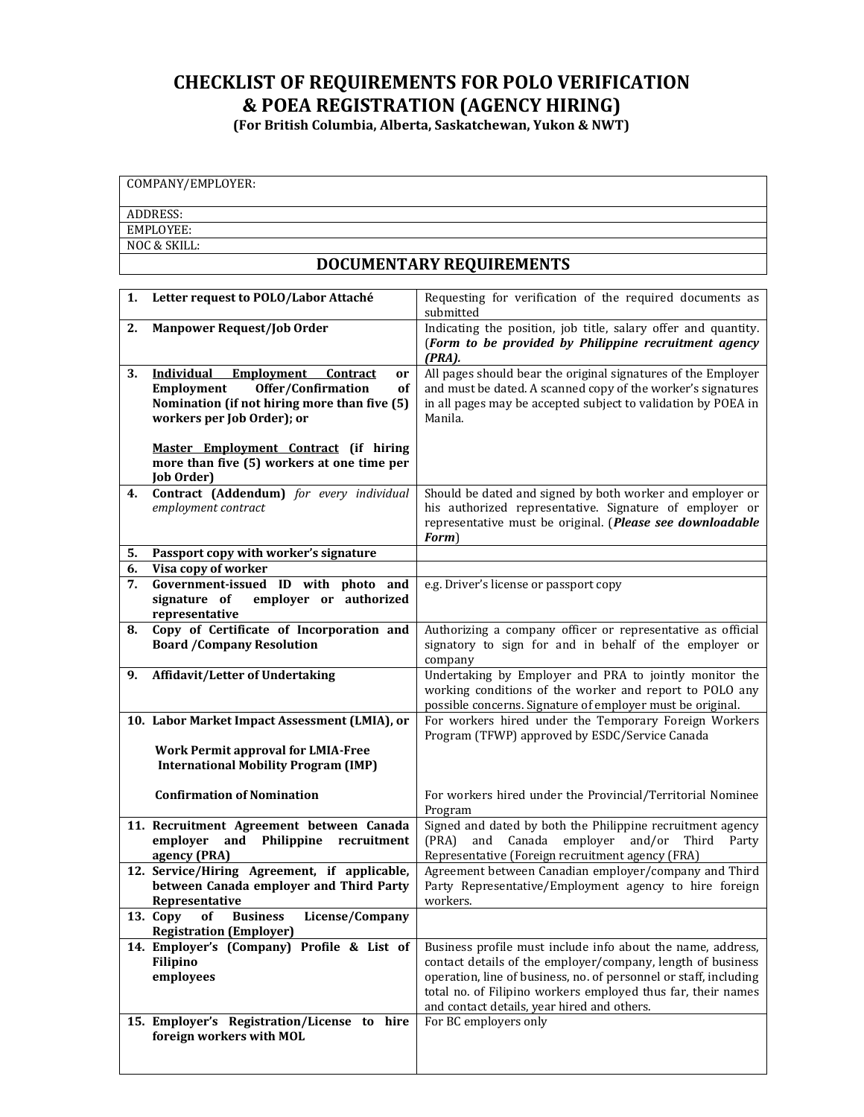## **CHECKLIST OF REQUIREMENTS FOR POLO VERIFICATION & POEA REGISTRATION (AGENCY HIRING)**

**(For British Columbia, Alberta, Saskatchewan, Yukon & NWT)**

| COMPANY/EMPLOYER:        |  |  |  |
|--------------------------|--|--|--|
|                          |  |  |  |
| ADDRESS:                 |  |  |  |
| EMPLOYEE:                |  |  |  |
| NOC & SKILL:             |  |  |  |
| DOCUMENTARY REQUIREMENTS |  |  |  |

| 1. | Letter request to POLO/Labor Attaché                                                                                                                                             | Requesting for verification of the required documents as<br>submitted                                                                                                                                                                                                                                          |
|----|----------------------------------------------------------------------------------------------------------------------------------------------------------------------------------|----------------------------------------------------------------------------------------------------------------------------------------------------------------------------------------------------------------------------------------------------------------------------------------------------------------|
| 2. | <b>Manpower Request/Job Order</b>                                                                                                                                                | Indicating the position, job title, salary offer and quantity.<br>(Form to be provided by Philippine recruitment agency<br>$(PRA)$ .                                                                                                                                                                           |
| 3. | <b>Individual</b><br>Employment<br><b>Contract</b><br>or<br>Employment<br>Offer/Confirmation<br>оf<br>Nomination (if not hiring more than five (5)<br>workers per Job Order); or | All pages should bear the original signatures of the Employer<br>and must be dated. A scanned copy of the worker's signatures<br>in all pages may be accepted subject to validation by POEA in<br>Manila.                                                                                                      |
|    | Master Employment Contract (if hiring<br>more than five (5) workers at one time per<br>Job Order)                                                                                |                                                                                                                                                                                                                                                                                                                |
| 4. | Contract (Addendum) for every individual<br>employment contract                                                                                                                  | Should be dated and signed by both worker and employer or<br>his authorized representative. Signature of employer or<br>representative must be original. (Please see downloadable<br>Form)                                                                                                                     |
| 5. | Passport copy with worker's signature                                                                                                                                            |                                                                                                                                                                                                                                                                                                                |
| 6. | Visa copy of worker                                                                                                                                                              |                                                                                                                                                                                                                                                                                                                |
| 7. | Government-issued ID with photo and<br>signature of<br>employer or authorized<br>representative                                                                                  | e.g. Driver's license or passport copy                                                                                                                                                                                                                                                                         |
| 8. | Copy of Certificate of Incorporation and<br><b>Board /Company Resolution</b>                                                                                                     | Authorizing a company officer or representative as official<br>signatory to sign for and in behalf of the employer or<br>company                                                                                                                                                                               |
| 9. | Affidavit/Letter of Undertaking                                                                                                                                                  | Undertaking by Employer and PRA to jointly monitor the<br>working conditions of the worker and report to POLO any<br>possible concerns. Signature of employer must be original.                                                                                                                                |
|    | 10. Labor Market Impact Assessment (LMIA), or<br><b>Work Permit approval for LMIA-Free</b><br><b>International Mobility Program (IMP)</b>                                        | For workers hired under the Temporary Foreign Workers<br>Program (TFWP) approved by ESDC/Service Canada                                                                                                                                                                                                        |
|    | <b>Confirmation of Nomination</b>                                                                                                                                                | For workers hired under the Provincial/Territorial Nominee<br>Program                                                                                                                                                                                                                                          |
|    | 11. Recruitment Agreement between Canada<br>employer<br>Philippine<br>recruitment<br>and<br>agency (PRA)                                                                         | Signed and dated by both the Philippine recruitment agency<br>Canada<br>employer<br>and/or<br>(PRA)<br>and<br>Third<br>Party<br>Representative (Foreign recruitment agency (FRA)                                                                                                                               |
|    | 12. Service/Hiring Agreement, if applicable,<br>between Canada employer and Third Party<br>Representative                                                                        | Agreement between Canadian employer/company and Third<br>Party Representative/Employment agency to hire foreign<br>workers.                                                                                                                                                                                    |
|    | License/Company<br><b>Business</b><br>13. Copy<br>0t<br><b>Registration (Employer)</b>                                                                                           |                                                                                                                                                                                                                                                                                                                |
|    | 14. Employer's (Company) Profile & List of<br>Filipino<br>employees                                                                                                              | Business profile must include info about the name, address,<br>contact details of the employer/company, length of business<br>operation, line of business, no. of personnel or staff, including<br>total no. of Filipino workers employed thus far, their names<br>and contact details, year hired and others. |
|    | 15. Employer's Registration/License to hire<br>foreign workers with MOL                                                                                                          | For BC employers only                                                                                                                                                                                                                                                                                          |